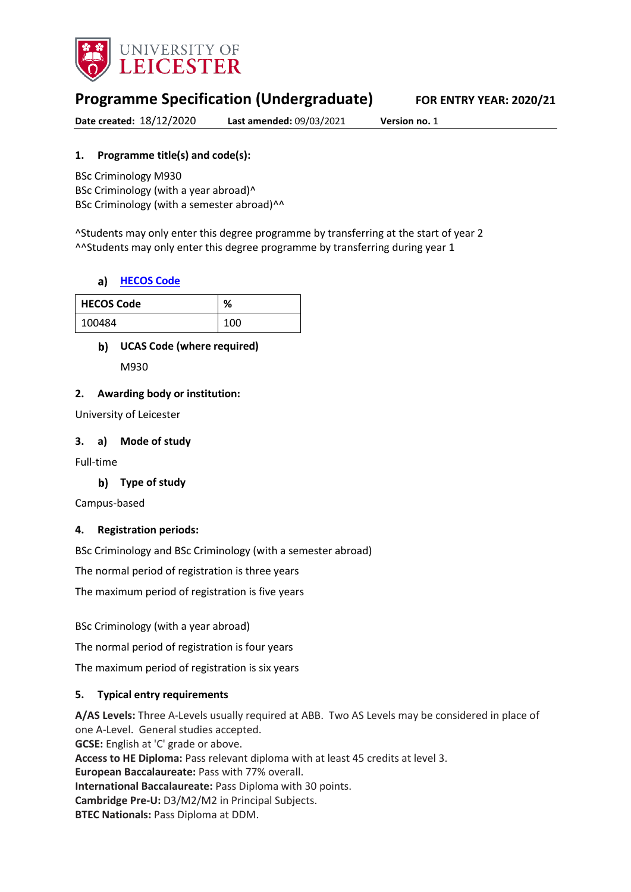

# **Programme Specification (Undergraduate) FOR ENTRY YEAR: 2020/21**

**Date created:** 18/12/2020 **Last amended:** 09/03/2021 **Version no.** 1

## **1. Programme title(s) and code(s):**

BSc Criminology M930 BSc Criminology (with a year abroad)^ BSc Criminology (with a semester abroad)^^

^Students may only enter this degree programme by transferring at the start of year 2 ^^Students may only enter this degree programme by transferring during year 1

#### **[HECOS Code](https://www.hesa.ac.uk/innovation/hecos)**

| <b>HECOS Code</b> | %   |
|-------------------|-----|
| 100484            | 100 |

#### **UCAS Code (where required)**

M930

#### **2. Awarding body or institution:**

University of Leicester

#### **3. a) Mode of study**

Full-time

## **Type of study**

Campus-based

#### **4. Registration periods:**

BSc Criminology and BSc Criminology (with a semester abroad)

The normal period of registration is three years

The maximum period of registration is five years

BSc Criminology (with a year abroad)

The normal period of registration is four years

The maximum period of registration is six years

#### **5. Typical entry requirements**

**A/AS Levels:** Three A-Levels usually required at ABB. Two AS Levels may be considered in place of one A-Level. General studies accepted. **GCSE:** English at 'C' grade or above. **Access to HE Diploma:** Pass relevant diploma with at least 45 credits at level 3. **European Baccalaureate:** Pass with 77% overall. **International Baccalaureate:** Pass Diploma with 30 points. **Cambridge Pre-U:** D3/M2/M2 in Principal Subjects. **BTEC Nationals:** Pass Diploma at DDM.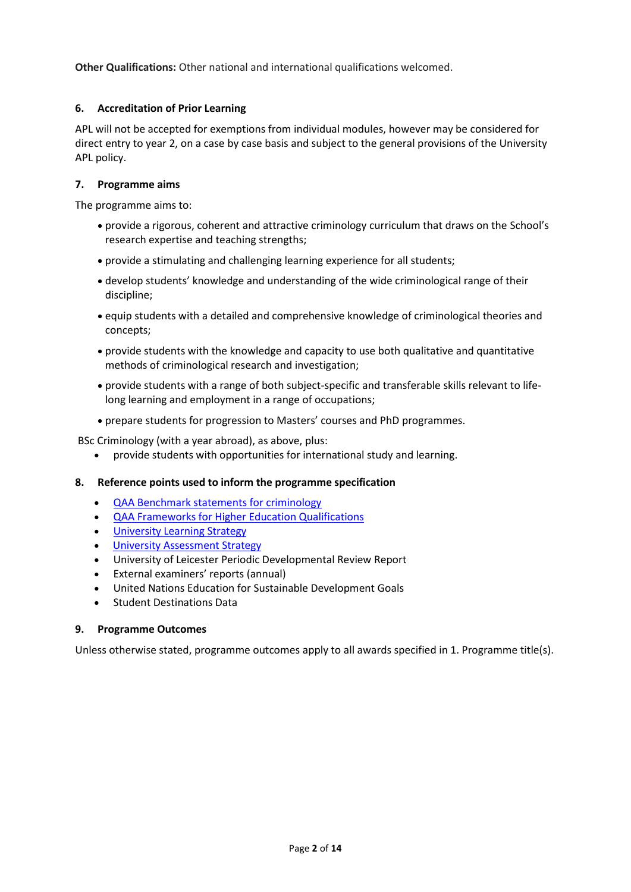**Other Qualifications:** Other national and international qualifications welcomed.

## **6. Accreditation of Prior Learning**

APL will not be accepted for exemptions from individual modules, however may be considered for direct entry to year 2, on a case by case basis and subject to the general provisions of the University APL policy.

#### **7. Programme aims**

The programme aims to:

- provide a rigorous, coherent and attractive criminology curriculum that draws on the School's research expertise and teaching strengths;
- provide a stimulating and challenging learning experience for all students;
- develop students' knowledge and understanding of the wide criminological range of their discipline;
- equip students with a detailed and comprehensive knowledge of criminological theories and concepts;
- provide students with the knowledge and capacity to use both qualitative and quantitative methods of criminological research and investigation;
- provide students with a range of both subject-specific and transferable skills relevant to lifelong learning and employment in a range of occupations;
- prepare students for progression to Masters' courses and PhD programmes.

BSc Criminology (with a year abroad), as above, plus:

provide students with opportunities for international study and learning.

#### **8. Reference points used to inform the programme specification**

- **[QAA Benchmark statements for criminology](https://www.qaa.ac.uk/docs/qaa/subject-benchmark-statements/subject-benchmark-statement-criminology.pdf?sfvrsn=8f2c881_4)**
- [QAA Frameworks for Higher Education Qualifications](http://www.qaa.ac.uk/en/Publications/Documents/qualifications-frameworks.pdf)
- University Learnin[g Strategy](https://www2.le.ac.uk/offices/sas2/quality/learnteach)
- **[University Assessment](https://www2.le.ac.uk/offices/sas2/quality/learnteach) Strategy**
- University of Leicester Periodic Developmental Review Report
- External examiners' reports (annual)
- United Nations Education for Sustainable Development Goals
- Student Destinations Data

#### **9. Programme Outcomes**

Unless otherwise stated, programme outcomes apply to all awards specified in 1. Programme title(s).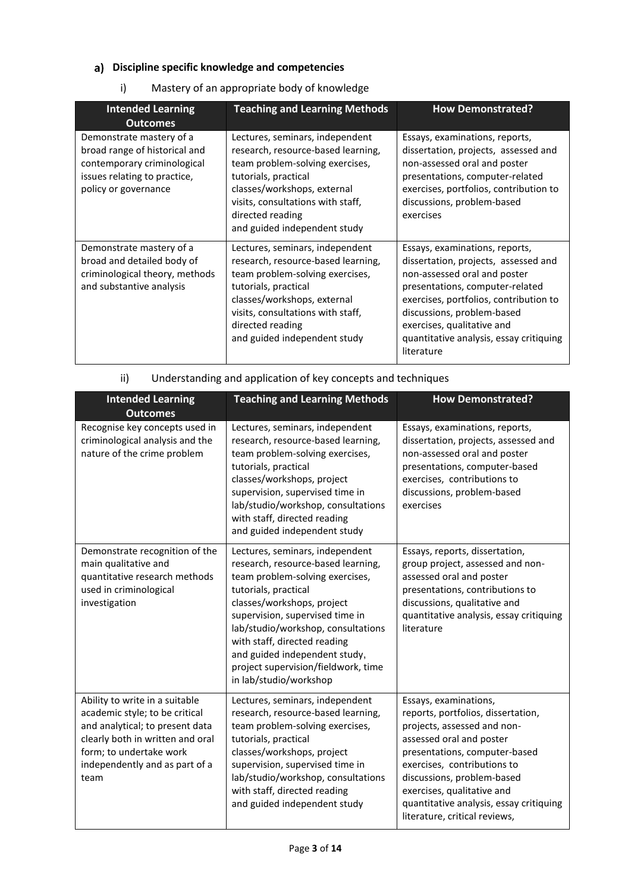# **Discipline specific knowledge and competencies**

# i) Mastery of an appropriate body of knowledge

| <b>Intended Learning</b><br><b>Outcomes</b>                                                                                                      | <b>Teaching and Learning Methods</b>                                                                                                                                                                                                                     | <b>How Demonstrated?</b>                                                                                                                                                                                                                                                                                 |
|--------------------------------------------------------------------------------------------------------------------------------------------------|----------------------------------------------------------------------------------------------------------------------------------------------------------------------------------------------------------------------------------------------------------|----------------------------------------------------------------------------------------------------------------------------------------------------------------------------------------------------------------------------------------------------------------------------------------------------------|
| Demonstrate mastery of a<br>broad range of historical and<br>contemporary criminological<br>issues relating to practice,<br>policy or governance | Lectures, seminars, independent<br>research, resource-based learning,<br>team problem-solving exercises,<br>tutorials, practical<br>classes/workshops, external<br>visits, consultations with staff,<br>directed reading<br>and guided independent study | Essays, examinations, reports,<br>dissertation, projects, assessed and<br>non-assessed oral and poster<br>presentations, computer-related<br>exercises, portfolios, contribution to<br>discussions, problem-based<br>exercises                                                                           |
| Demonstrate mastery of a<br>broad and detailed body of<br>criminological theory, methods<br>and substantive analysis                             | Lectures, seminars, independent<br>research, resource-based learning,<br>team problem-solving exercises,<br>tutorials, practical<br>classes/workshops, external<br>visits, consultations with staff,<br>directed reading<br>and guided independent study | Essays, examinations, reports,<br>dissertation, projects, assessed and<br>non-assessed oral and poster<br>presentations, computer-related<br>exercises, portfolios, contribution to<br>discussions, problem-based<br>exercises, qualitative and<br>quantitative analysis, essay critiquing<br>literature |

# ii) Understanding and application of key concepts and techniques

| <b>Intended Learning</b><br><b>Outcomes</b>                                                                                                                                                                  | <b>Teaching and Learning Methods</b>                                                                                                                                                                                                                                                                                                                                      | <b>How Demonstrated?</b>                                                                                                                                                                                                                                                                                                       |
|--------------------------------------------------------------------------------------------------------------------------------------------------------------------------------------------------------------|---------------------------------------------------------------------------------------------------------------------------------------------------------------------------------------------------------------------------------------------------------------------------------------------------------------------------------------------------------------------------|--------------------------------------------------------------------------------------------------------------------------------------------------------------------------------------------------------------------------------------------------------------------------------------------------------------------------------|
| Recognise key concepts used in<br>criminological analysis and the<br>nature of the crime problem                                                                                                             | Lectures, seminars, independent<br>research, resource-based learning,<br>team problem-solving exercises,<br>tutorials, practical<br>classes/workshops, project<br>supervision, supervised time in<br>lab/studio/workshop, consultations<br>with staff, directed reading<br>and guided independent study                                                                   | Essays, examinations, reports,<br>dissertation, projects, assessed and<br>non-assessed oral and poster<br>presentations, computer-based<br>exercises, contributions to<br>discussions, problem-based<br>exercises                                                                                                              |
| Demonstrate recognition of the<br>main qualitative and<br>quantitative research methods<br>used in criminological<br>investigation                                                                           | Lectures, seminars, independent<br>research, resource-based learning,<br>team problem-solving exercises,<br>tutorials, practical<br>classes/workshops, project<br>supervision, supervised time in<br>lab/studio/workshop, consultations<br>with staff, directed reading<br>and guided independent study,<br>project supervision/fieldwork, time<br>in lab/studio/workshop | Essays, reports, dissertation,<br>group project, assessed and non-<br>assessed oral and poster<br>presentations, contributions to<br>discussions, qualitative and<br>quantitative analysis, essay critiquing<br>literature                                                                                                     |
| Ability to write in a suitable<br>academic style; to be critical<br>and analytical; to present data<br>clearly both in written and oral<br>form; to undertake work<br>independently and as part of a<br>team | Lectures, seminars, independent<br>research, resource-based learning,<br>team problem-solving exercises,<br>tutorials, practical<br>classes/workshops, project<br>supervision, supervised time in<br>lab/studio/workshop, consultations<br>with staff, directed reading<br>and guided independent study                                                                   | Essays, examinations,<br>reports, portfolios, dissertation,<br>projects, assessed and non-<br>assessed oral and poster<br>presentations, computer-based<br>exercises, contributions to<br>discussions, problem-based<br>exercises, qualitative and<br>quantitative analysis, essay critiquing<br>literature, critical reviews, |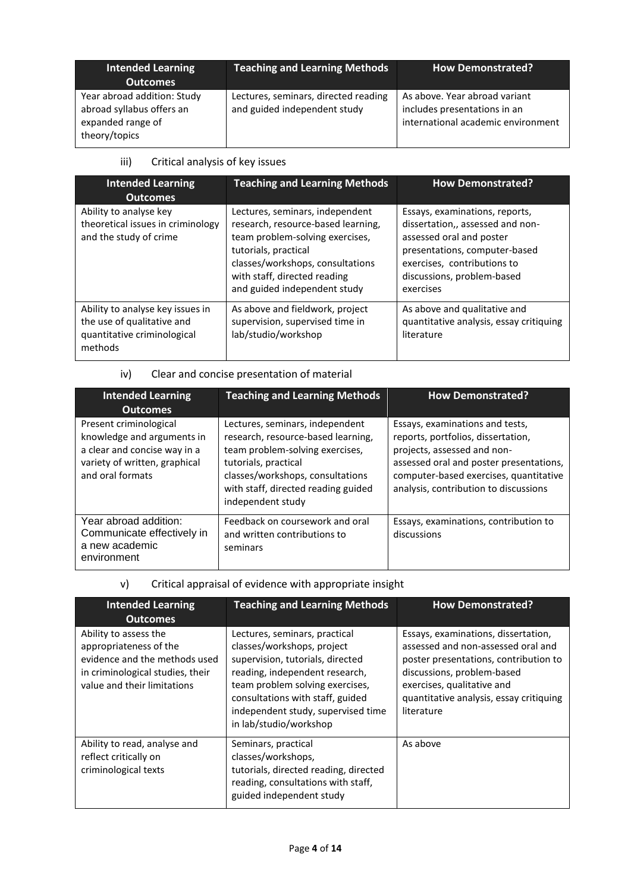| <b>Intended Learning</b><br><b>Outcomes</b>                                                    | <b>Teaching and Learning Methods</b>                                 | <b>How Demonstrated?</b>                                                                            |
|------------------------------------------------------------------------------------------------|----------------------------------------------------------------------|-----------------------------------------------------------------------------------------------------|
| Year abroad addition: Study<br>abroad syllabus offers an<br>expanded range of<br>theory/topics | Lectures, seminars, directed reading<br>and guided independent study | As above. Year abroad variant<br>includes presentations in an<br>international academic environment |

# iii) Critical analysis of key issues

| <b>Intended Learning</b><br><b>Outcomes</b>                                                              | <b>Teaching and Learning Methods</b>                                                                                                                                                                                                 | <b>How Demonstrated?</b>                                                                                                                                                                                  |
|----------------------------------------------------------------------------------------------------------|--------------------------------------------------------------------------------------------------------------------------------------------------------------------------------------------------------------------------------------|-----------------------------------------------------------------------------------------------------------------------------------------------------------------------------------------------------------|
| Ability to analyse key<br>theoretical issues in criminology<br>and the study of crime                    | Lectures, seminars, independent<br>research, resource-based learning,<br>team problem-solving exercises,<br>tutorials, practical<br>classes/workshops, consultations<br>with staff, directed reading<br>and guided independent study | Essays, examinations, reports,<br>dissertation,, assessed and non-<br>assessed oral and poster<br>presentations, computer-based<br>exercises, contributions to<br>discussions, problem-based<br>exercises |
| Ability to analyse key issues in<br>the use of qualitative and<br>quantitative criminological<br>methods | As above and fieldwork, project<br>supervision, supervised time in<br>lab/studio/workshop                                                                                                                                            | As above and qualitative and<br>quantitative analysis, essay critiquing<br>literature                                                                                                                     |

# iv) Clear and concise presentation of material

| <b>Intended Learning</b><br><b>Outcomes</b>                                                                                               | <b>Teaching and Learning Methods</b>                                                                                                                                                                                             | <b>How Demonstrated?</b>                                                                                                                                                                                                           |
|-------------------------------------------------------------------------------------------------------------------------------------------|----------------------------------------------------------------------------------------------------------------------------------------------------------------------------------------------------------------------------------|------------------------------------------------------------------------------------------------------------------------------------------------------------------------------------------------------------------------------------|
| Present criminological<br>knowledge and arguments in<br>a clear and concise way in a<br>variety of written, graphical<br>and oral formats | Lectures, seminars, independent<br>research, resource-based learning,<br>team problem-solving exercises,<br>tutorials, practical<br>classes/workshops, consultations<br>with staff, directed reading guided<br>independent study | Essays, examinations and tests,<br>reports, portfolios, dissertation,<br>projects, assessed and non-<br>assessed oral and poster presentations,<br>computer-based exercises, quantitative<br>analysis, contribution to discussions |
| Year abroad addition:<br>Communicate effectively in<br>a new academic<br>environment                                                      | Feedback on coursework and oral<br>and written contributions to<br>seminars                                                                                                                                                      | Essays, examinations, contribution to<br>discussions                                                                                                                                                                               |

## v) Critical appraisal of evidence with appropriate insight

| <b>Intended Learning</b><br><b>Outcomes</b>                                                                                                         | <b>Teaching and Learning Methods</b>                                                                                                                                                                                                                                     | <b>How Demonstrated?</b>                                                                                                                                                                                                                |
|-----------------------------------------------------------------------------------------------------------------------------------------------------|--------------------------------------------------------------------------------------------------------------------------------------------------------------------------------------------------------------------------------------------------------------------------|-----------------------------------------------------------------------------------------------------------------------------------------------------------------------------------------------------------------------------------------|
| Ability to assess the<br>appropriateness of the<br>evidence and the methods used<br>in criminological studies, their<br>value and their limitations | Lectures, seminars, practical<br>classes/workshops, project<br>supervision, tutorials, directed<br>reading, independent research,<br>team problem solving exercises,<br>consultations with staff, guided<br>independent study, supervised time<br>in lab/studio/workshop | Essays, examinations, dissertation,<br>assessed and non-assessed oral and<br>poster presentations, contribution to<br>discussions, problem-based<br>exercises, qualitative and<br>quantitative analysis, essay critiquing<br>literature |
| Ability to read, analyse and<br>reflect critically on<br>criminological texts                                                                       | Seminars, practical<br>classes/workshops,<br>tutorials, directed reading, directed<br>reading, consultations with staff,<br>guided independent study                                                                                                                     | As above                                                                                                                                                                                                                                |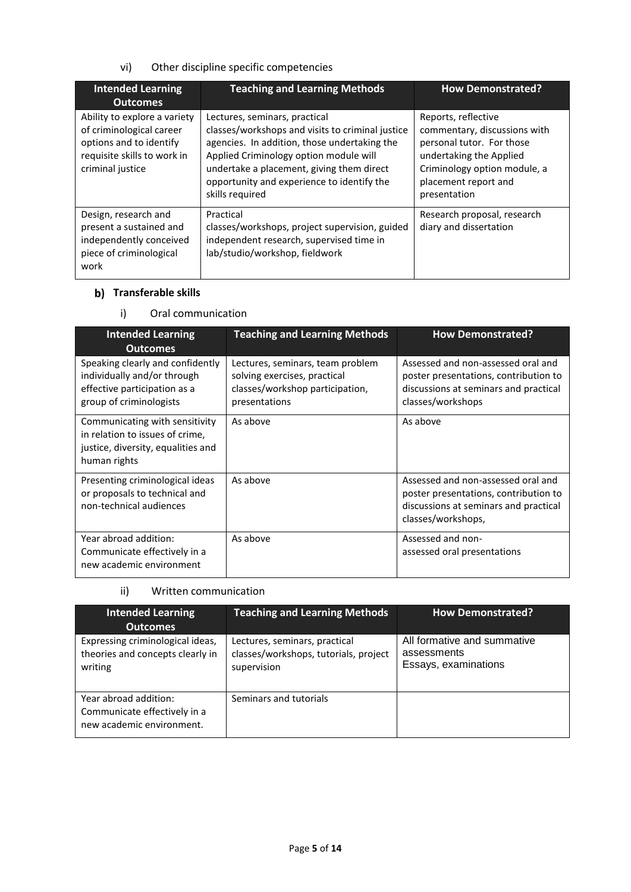## vi) Other discipline specific competencies

| <b>Intended Learning</b><br><b>Outcomes</b>                                                                                            | <b>Teaching and Learning Methods</b>                                                                                                                                                                                                                                                      | <b>How Demonstrated?</b>                                                                                                                                                            |
|----------------------------------------------------------------------------------------------------------------------------------------|-------------------------------------------------------------------------------------------------------------------------------------------------------------------------------------------------------------------------------------------------------------------------------------------|-------------------------------------------------------------------------------------------------------------------------------------------------------------------------------------|
| Ability to explore a variety<br>of criminological career<br>options and to identify<br>requisite skills to work in<br>criminal justice | Lectures, seminars, practical<br>classes/workshops and visits to criminal justice<br>agencies. In addition, those undertaking the<br>Applied Criminology option module will<br>undertake a placement, giving them direct<br>opportunity and experience to identify the<br>skills required | Reports, reflective<br>commentary, discussions with<br>personal tutor. For those<br>undertaking the Applied<br>Criminology option module, a<br>placement report and<br>presentation |
| Design, research and<br>present a sustained and<br>independently conceived<br>piece of criminological<br>work                          | Practical<br>classes/workshops, project supervision, guided<br>independent research, supervised time in<br>lab/studio/workshop, fieldwork                                                                                                                                                 | Research proposal, research<br>diary and dissertation                                                                                                                               |

## **b)** Transferable skills

#### i) Oral communication

| <b>Intended Learning</b><br><b>Outcomes</b>                                                                                | <b>Teaching and Learning Methods</b>                                                                                 | <b>How Demonstrated?</b>                                                                                                                   |
|----------------------------------------------------------------------------------------------------------------------------|----------------------------------------------------------------------------------------------------------------------|--------------------------------------------------------------------------------------------------------------------------------------------|
| Speaking clearly and confidently<br>individually and/or through<br>effective participation as a<br>group of criminologists | Lectures, seminars, team problem<br>solving exercises, practical<br>classes/workshop participation,<br>presentations | Assessed and non-assessed oral and<br>poster presentations, contribution to<br>discussions at seminars and practical<br>classes/workshops  |
| Communicating with sensitivity<br>in relation to issues of crime,<br>justice, diversity, equalities and<br>human rights    | As above                                                                                                             | As above                                                                                                                                   |
| Presenting criminological ideas<br>or proposals to technical and<br>non-technical audiences                                | As above                                                                                                             | Assessed and non-assessed oral and<br>poster presentations, contribution to<br>discussions at seminars and practical<br>classes/workshops, |
| Year abroad addition:<br>Communicate effectively in a<br>new academic environment                                          | As above                                                                                                             | Assessed and non-<br>assessed oral presentations                                                                                           |

### ii) Written communication

| <b>Intended Learning</b><br><b>Outcomes</b>                                        | <b>Teaching and Learning Methods</b>                                                  | <b>How Demonstrated?</b>                                           |
|------------------------------------------------------------------------------------|---------------------------------------------------------------------------------------|--------------------------------------------------------------------|
| Expressing criminological ideas,<br>theories and concepts clearly in<br>writing    | Lectures, seminars, practical<br>classes/workshops, tutorials, project<br>supervision | All formative and summative<br>assessments<br>Essays, examinations |
| Year abroad addition:<br>Communicate effectively in a<br>new academic environment. | Seminars and tutorials                                                                |                                                                    |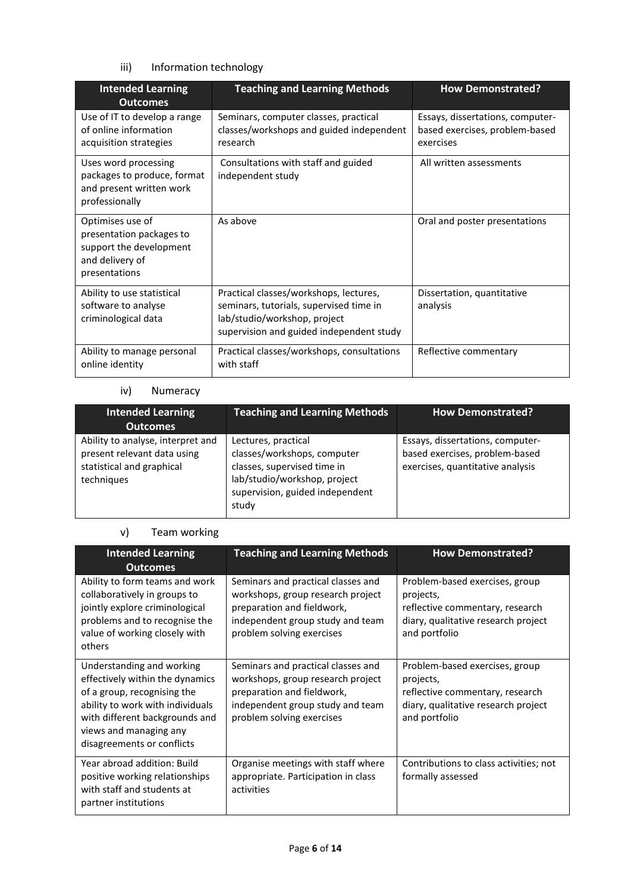# iii) Information technology

| <b>Intended Learning</b><br><b>Outcomes</b>                                                                 | <b>Teaching and Learning Methods</b>                                                                                                                          | <b>How Demonstrated?</b>                                                        |
|-------------------------------------------------------------------------------------------------------------|---------------------------------------------------------------------------------------------------------------------------------------------------------------|---------------------------------------------------------------------------------|
| Use of IT to develop a range<br>of online information<br>acquisition strategies                             | Seminars, computer classes, practical<br>classes/workshops and guided independent<br>research                                                                 | Essays, dissertations, computer-<br>based exercises, problem-based<br>exercises |
| Uses word processing<br>packages to produce, format<br>and present written work<br>professionally           | Consultations with staff and guided<br>independent study                                                                                                      | All written assessments                                                         |
| Optimises use of<br>presentation packages to<br>support the development<br>and delivery of<br>presentations | As above                                                                                                                                                      | Oral and poster presentations                                                   |
| Ability to use statistical<br>software to analyse<br>criminological data                                    | Practical classes/workshops, lectures,<br>seminars, tutorials, supervised time in<br>lab/studio/workshop, project<br>supervision and guided independent study | Dissertation, quantitative<br>analysis                                          |
| Ability to manage personal<br>online identity                                                               | Practical classes/workshops, consultations<br>with staff                                                                                                      | Reflective commentary                                                           |

# iv) Numeracy

| <b>Intended Learning</b><br><b>Outcomes</b>                                                                 | <b>Teaching and Learning Methods</b>                                                                                                                          | <b>How Demonstrated?</b>                                                                               |
|-------------------------------------------------------------------------------------------------------------|---------------------------------------------------------------------------------------------------------------------------------------------------------------|--------------------------------------------------------------------------------------------------------|
| Ability to analyse, interpret and<br>present relevant data using<br>statistical and graphical<br>techniques | Lectures, practical<br>classes/workshops, computer<br>classes, supervised time in<br>lab/studio/workshop, project<br>supervision, guided independent<br>study | Essays, dissertations, computer-<br>based exercises, problem-based<br>exercises, quantitative analysis |

#### v) Team working

| <b>Intended Learning</b><br><b>Outcomes</b>                                                                                                                                                                               | <b>Teaching and Learning Methods</b>                                                                                                                                   | <b>How Demonstrated?</b>                                                                                                               |
|---------------------------------------------------------------------------------------------------------------------------------------------------------------------------------------------------------------------------|------------------------------------------------------------------------------------------------------------------------------------------------------------------------|----------------------------------------------------------------------------------------------------------------------------------------|
| Ability to form teams and work<br>collaboratively in groups to<br>jointly explore criminological<br>problems and to recognise the<br>value of working closely with<br>others                                              | Seminars and practical classes and<br>workshops, group research project<br>preparation and fieldwork,<br>independent group study and team<br>problem solving exercises | Problem-based exercises, group<br>projects,<br>reflective commentary, research<br>diary, qualitative research project<br>and portfolio |
| Understanding and working<br>effectively within the dynamics<br>of a group, recognising the<br>ability to work with individuals<br>with different backgrounds and<br>views and managing any<br>disagreements or conflicts | Seminars and practical classes and<br>workshops, group research project<br>preparation and fieldwork,<br>independent group study and team<br>problem solving exercises | Problem-based exercises, group<br>projects,<br>reflective commentary, research<br>diary, qualitative research project<br>and portfolio |
| Year abroad addition: Build<br>positive working relationships<br>with staff and students at<br>partner institutions                                                                                                       | Organise meetings with staff where<br>appropriate. Participation in class<br>activities                                                                                | Contributions to class activities; not<br>formally assessed                                                                            |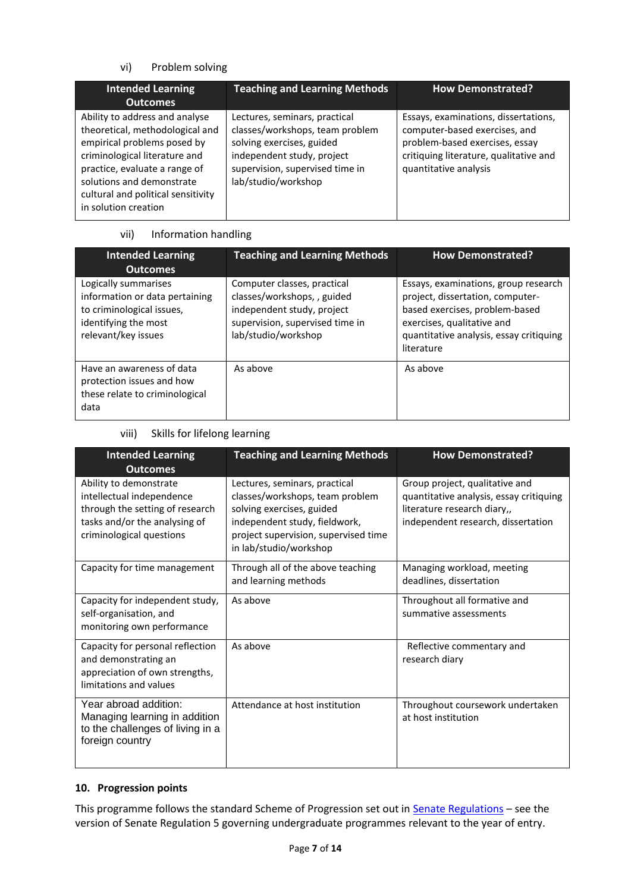## vi) Problem solving

| <b>Intended Learning</b>                                                                                                                                                                                                                                      | <b>Teaching and Learning Methods</b>                                                                                                                                                  | <b>How Demonstrated?</b>                                                                                                                                                   |
|---------------------------------------------------------------------------------------------------------------------------------------------------------------------------------------------------------------------------------------------------------------|---------------------------------------------------------------------------------------------------------------------------------------------------------------------------------------|----------------------------------------------------------------------------------------------------------------------------------------------------------------------------|
| <b>Outcomes</b>                                                                                                                                                                                                                                               |                                                                                                                                                                                       |                                                                                                                                                                            |
| Ability to address and analyse<br>theoretical, methodological and<br>empirical problems posed by<br>criminological literature and<br>practice, evaluate a range of<br>solutions and demonstrate<br>cultural and political sensitivity<br>in solution creation | Lectures, seminars, practical<br>classes/workshops, team problem<br>solving exercises, guided<br>independent study, project<br>supervision, supervised time in<br>lab/studio/workshop | Essays, examinations, dissertations,<br>computer-based exercises, and<br>problem-based exercises, essay<br>critiquing literature, qualitative and<br>quantitative analysis |
|                                                                                                                                                                                                                                                               |                                                                                                                                                                                       |                                                                                                                                                                            |

# vii) Information handling

| <b>Intended Learning</b><br><b>Outcomes</b>                                                                                        | <b>Teaching and Learning Methods</b>                                                                                                               | <b>How Demonstrated?</b>                                                                                                                                                                          |
|------------------------------------------------------------------------------------------------------------------------------------|----------------------------------------------------------------------------------------------------------------------------------------------------|---------------------------------------------------------------------------------------------------------------------------------------------------------------------------------------------------|
| Logically summarises<br>information or data pertaining<br>to criminological issues,<br>identifying the most<br>relevant/key issues | Computer classes, practical<br>classes/workshops, , guided<br>independent study, project<br>supervision, supervised time in<br>lab/studio/workshop | Essays, examinations, group research<br>project, dissertation, computer-<br>based exercises, problem-based<br>exercises, qualitative and<br>quantitative analysis, essay critiquing<br>literature |
| Have an awareness of data<br>protection issues and how<br>these relate to criminological<br>data                                   | As above                                                                                                                                           | As above                                                                                                                                                                                          |

## viii) Skills for lifelong learning

| <b>Intended Learning</b><br><b>Outcomes</b>                                                                                                         | <b>Teaching and Learning Methods</b>                                                                                                                                                             | <b>How Demonstrated?</b>                                                                                                                       |
|-----------------------------------------------------------------------------------------------------------------------------------------------------|--------------------------------------------------------------------------------------------------------------------------------------------------------------------------------------------------|------------------------------------------------------------------------------------------------------------------------------------------------|
| Ability to demonstrate<br>intellectual independence<br>through the setting of research<br>tasks and/or the analysing of<br>criminological questions | Lectures, seminars, practical<br>classes/workshops, team problem<br>solving exercises, guided<br>independent study, fieldwork,<br>project supervision, supervised time<br>in lab/studio/workshop | Group project, qualitative and<br>quantitative analysis, essay critiquing<br>literature research diary,,<br>independent research, dissertation |
| Capacity for time management                                                                                                                        | Through all of the above teaching<br>and learning methods                                                                                                                                        | Managing workload, meeting<br>deadlines, dissertation                                                                                          |
| Capacity for independent study,<br>self-organisation, and<br>monitoring own performance                                                             | As above                                                                                                                                                                                         | Throughout all formative and<br>summative assessments                                                                                          |
| Capacity for personal reflection<br>and demonstrating an<br>appreciation of own strengths,<br>limitations and values                                | As above                                                                                                                                                                                         | Reflective commentary and<br>research diary                                                                                                    |
| Year abroad addition:<br>Managing learning in addition<br>to the challenges of living in a<br>foreign country                                       | Attendance at host institution                                                                                                                                                                   | Throughout coursework undertaken<br>at host institution                                                                                        |

## **10. Progression points**

This programme follows the standard Scheme of Progression set out in **Senate Regulations** - see the version of Senate Regulation 5 governing undergraduate programmes relevant to the year of entry.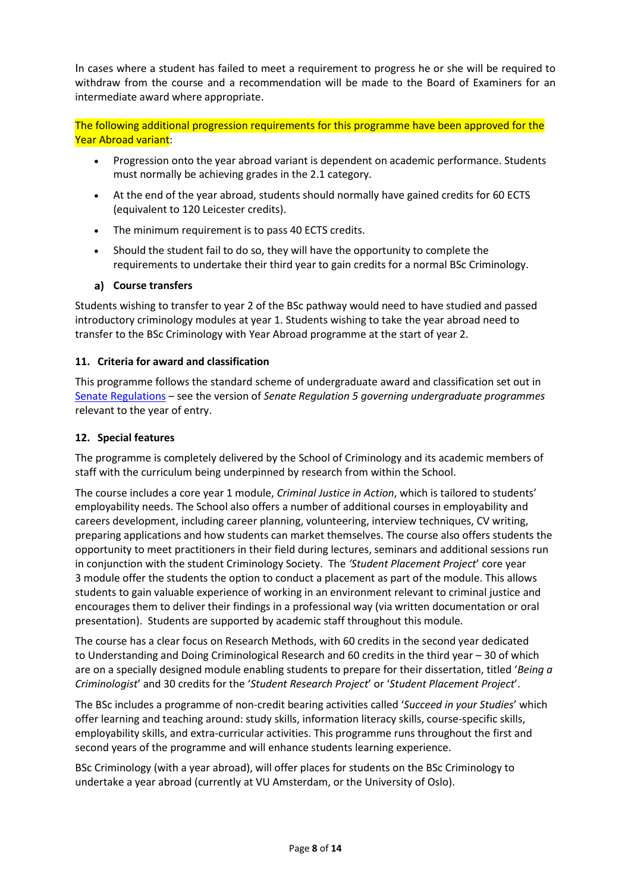In cases where a student has failed to meet a requirement to progress he or she will be required to withdraw from the course and a recommendation will be made to the Board of Examiners for an intermediate award where appropriate.

The following additional progression requirements for this programme have been approved for the Year Abroad variant:

- Progression onto the year abroad variant is dependent on academic performance. Students must normally be achieving grades in the 2.1 category.
- At the end of the year abroad, students should normally have gained credits for 60 ECTS (equivalent to 120 Leicester credits).
- The minimum requirement is to pass 40 ECTS credits.
- Should the student fail to do so, they will have the opportunity to complete the requirements to undertake their third year to gain credits for a normal BSc Criminology.

#### **Course transfers**

Students wishing to transfer to year 2 of the BSc pathway would need to have studied and passed introductory criminology modules at year 1. Students wishing to take the year abroad need to transfer to the BSc Criminology with Year Abroad programme at the start of year 2.

#### **11. Criteria for award and classification**

This programme follows the standard scheme of undergraduate award and classification set out in [Senate Regulations](http://www.le.ac.uk/senate-regulations) – see the version of *Senate Regulation 5 governing undergraduate programmes* relevant to the year of entry.

#### **12. Special features**

The programme is completely delivered by the School of Criminology and its academic members of staff with the curriculum being underpinned by research from within the School.

The course includes a core year 1 module, *Criminal Justice in Action*, which is tailored to students' employability needs. The School also offers a number of additional courses in employability and careers development, including career planning, volunteering, interview techniques, CV writing, preparing applications and how students can market themselves. The course also offers students the opportunity to meet practitioners in their field during lectures, seminars and additional sessions run in conjunction with the student Criminology Society. The *'Student Placement Project*' core year 3 module offer the students the option to conduct a placement as part of the module. This allows students to gain valuable experience of working in an environment relevant to criminal justice and encourages them to deliver their findings in a professional way (via written documentation or oral presentation). Students are supported by academic staff throughout this module.

The course has a clear focus on Research Methods, with 60 credits in the second year dedicated to Understanding and Doing Criminological Research and 60 credits in the third year – 30 of which are on a specially designed module enabling students to prepare for their dissertation, titled '*Being a Criminologist*' and 30 credits for the '*Student Research Project*' or '*Student Placement Project*'.

The BSc includes a programme of non-credit bearing activities called '*Succeed in your Studies*' which offer learning and teaching around: study skills, information literacy skills, course-specific skills, employability skills, and extra-curricular activities. This programme runs throughout the first and second years of the programme and will enhance students learning experience.

BSc Criminology (with a year abroad), will offer places for students on the BSc Criminology to undertake a year abroad (currently at VU Amsterdam, or the University of Oslo).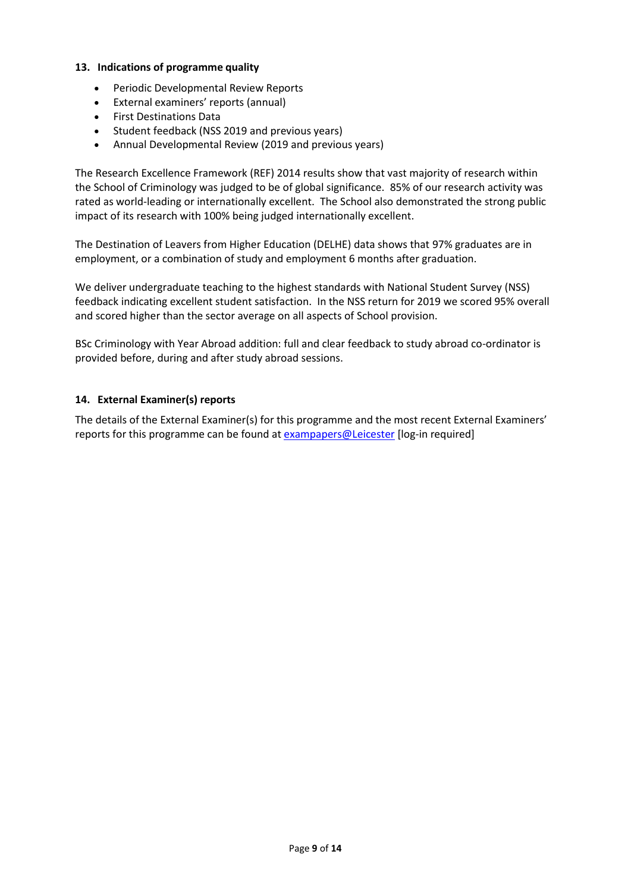#### **13. Indications of programme quality**

- Periodic Developmental Review Reports
- External examiners' reports (annual)
- First Destinations Data
- Student feedback (NSS 2019 and previous years)
- Annual Developmental Review (2019 and previous years)

The Research Excellence Framework (REF) 2014 results show that vast majority of research within the School of Criminology was judged to be of global significance. 85% of our research activity was rated as world-leading or internationally excellent. The School also demonstrated the strong public impact of its research with 100% being judged internationally excellent.

The Destination of Leavers from Higher Education (DELHE) data shows that 97% graduates are in employment, or a combination of study and employment 6 months after graduation.

We deliver undergraduate teaching to the highest standards with National Student Survey (NSS) feedback indicating excellent student satisfaction. In the NSS return for 2019 we scored 95% overall and scored higher than the sector average on all aspects of School provision.

BSc Criminology with Year Abroad addition: full and clear feedback to study abroad co-ordinator is provided before, during and after study abroad sessions.

#### **14. External Examiner(s) reports**

The details of the External Examiner(s) for this programme and the most recent External Examiners' reports for this programme can be found at [exampapers@Leicester](https://exampapers.le.ac.uk/) [log-in required]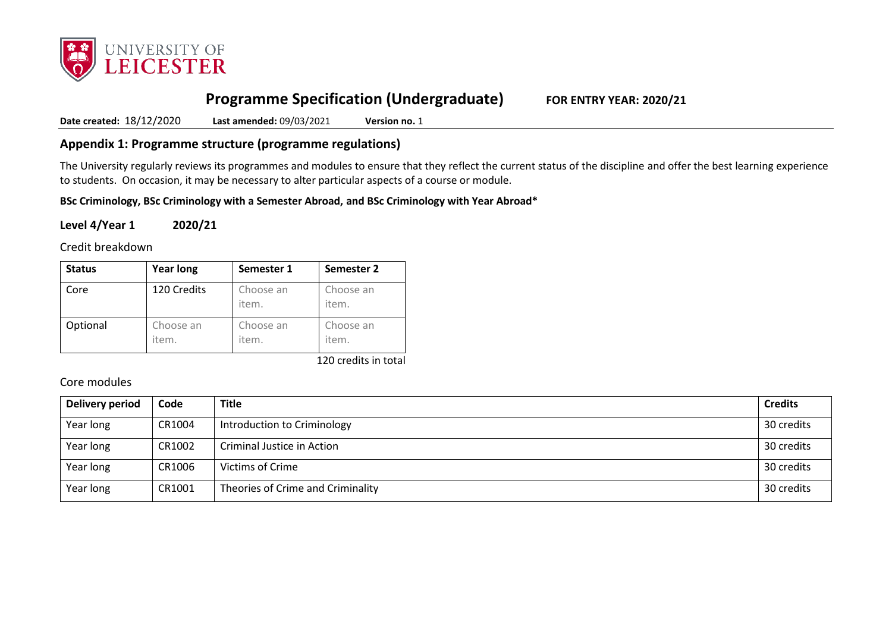

# **Programme Specification (Undergraduate) FOR ENTRY YEAR: 2020/21**

**Date created:** 18/12/2020 **Last amended:** 09/03/2021 **Version no.** 1

# **Appendix 1: Programme structure (programme regulations)**

The University regularly reviews its programmes and modules to ensure that they reflect the current status of the discipline and offer the best learning experience to students. On occasion, it may be necessary to alter particular aspects of a course or module.

**BSc Criminology, BSc Criminology with a Semester Abroad, and BSc Criminology with Year Abroad\***

**Level 4/Year 1 2020/21**

Credit breakdown

| <b>Status</b> | <b>Year long</b>   | Semester 1         | Semester 2         |
|---------------|--------------------|--------------------|--------------------|
| Core          | 120 Credits        | Choose an<br>item. | Choose an<br>item. |
| Optional      | Choose an<br>item. | Choose an<br>item. | Choose an<br>item. |

120 credits in total

# Core modules

| Delivery period | Code   | Title                             | <b>Credits</b> |
|-----------------|--------|-----------------------------------|----------------|
| Year long       | CR1004 | Introduction to Criminology       | 30 credits     |
| Year long       | CR1002 | Criminal Justice in Action        | 30 credits     |
| Year long       | CR1006 | Victims of Crime                  | 30 credits     |
| Year long       | CR1001 | Theories of Crime and Criminality | 30 credits     |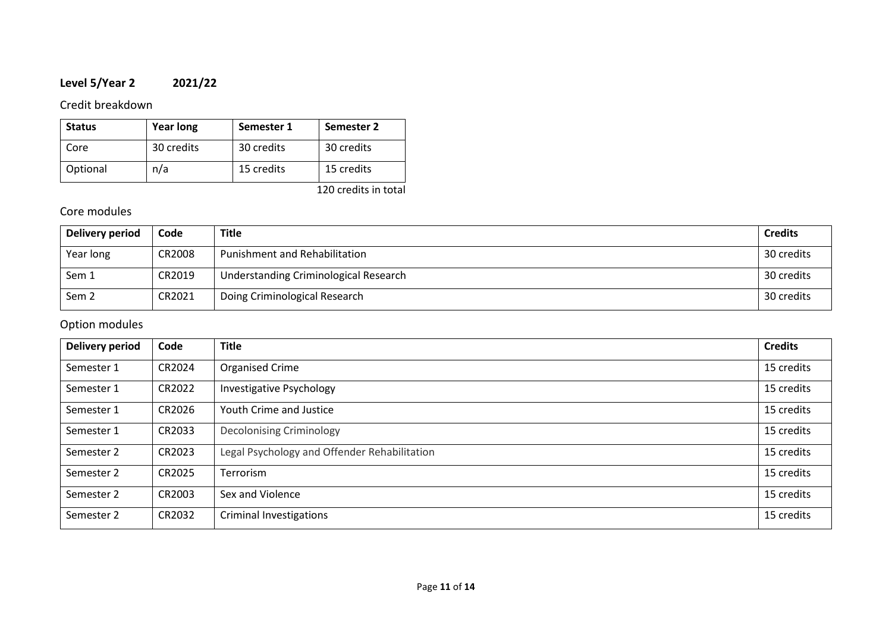# **Level 5/Year 2 2021/22**

# Credit breakdown

| <b>Status</b> | <b>Year long</b> | Semester 1 | Semester 2 |
|---------------|------------------|------------|------------|
| Core          | 30 credits       | 30 credits | 30 credits |
| Optional      | n/a              | 15 credits | 15 credits |

120 credits in total

# Core modules

| Delivery period  | Code   | Title                                 | <b>Credits</b> |
|------------------|--------|---------------------------------------|----------------|
| Year long        | CR2008 | Punishment and Rehabilitation         | 30 credits     |
| Sem 1            | CR2019 | Understanding Criminological Research | 30 credits     |
| Sem <sub>2</sub> | CR2021 | Doing Criminological Research         | 30 credits     |

# Option modules

| <b>Delivery period</b> | Code   | <b>Title</b>                                 | <b>Credits</b> |
|------------------------|--------|----------------------------------------------|----------------|
| Semester 1             | CR2024 | Organised Crime                              | 15 credits     |
| Semester 1             | CR2022 | <b>Investigative Psychology</b>              | 15 credits     |
| Semester 1             | CR2026 | Youth Crime and Justice                      | 15 credits     |
| Semester 1             | CR2033 | <b>Decolonising Criminology</b>              | 15 credits     |
| Semester 2             | CR2023 | Legal Psychology and Offender Rehabilitation | 15 credits     |
| Semester 2             | CR2025 | <b>Terrorism</b>                             | 15 credits     |
| Semester 2             | CR2003 | Sex and Violence                             | 15 credits     |
| Semester 2             | CR2032 | <b>Criminal Investigations</b>               | 15 credits     |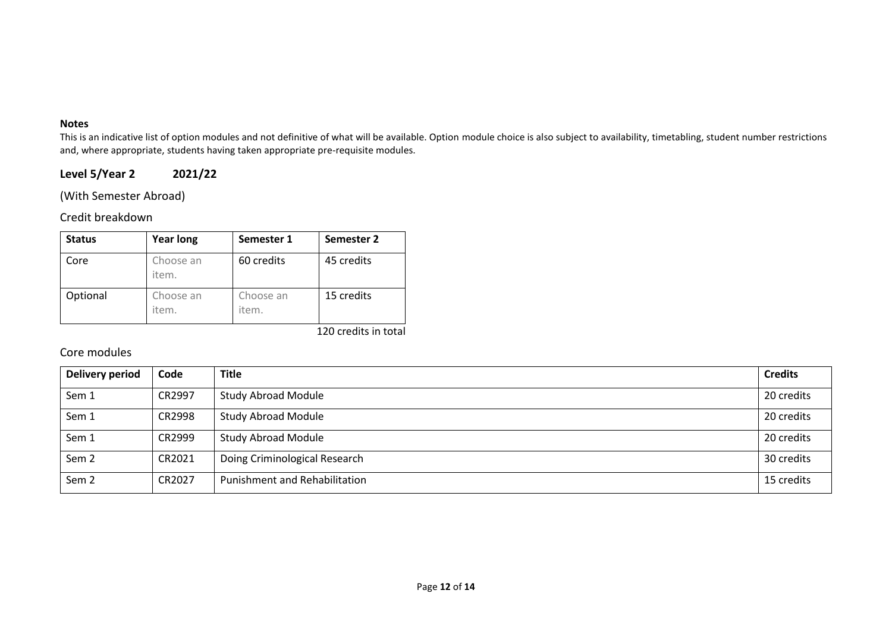#### **Notes**

This is an indicative list of option modules and not definitive of what will be available. Option module choice is also subject to availability, timetabling, student number restrictions and, where appropriate, students having taken appropriate pre-requisite modules.

# **Level 5/Year 2 2021/22**

(With Semester Abroad)

## Credit breakdown

| <b>Status</b> | <b>Year long</b>   | Semester 1         | Semester 2 |
|---------------|--------------------|--------------------|------------|
| Core          | Choose an<br>item. | 60 credits         | 45 credits |
| Optional      | Choose an<br>item. | Choose an<br>item. | 15 credits |

120 credits in total

# Core modules

| Delivery period  | Code   | <b>Title</b>                         | <b>Credits</b> |
|------------------|--------|--------------------------------------|----------------|
| Sem 1            | CR2997 | <b>Study Abroad Module</b>           | 20 credits     |
| Sem 1            | CR2998 | <b>Study Abroad Module</b>           | 20 credits     |
| Sem 1            | CR2999 | <b>Study Abroad Module</b>           | 20 credits     |
| Sem <sub>2</sub> | CR2021 | Doing Criminological Research        | 30 credits     |
| Sem <sub>2</sub> | CR2027 | <b>Punishment and Rehabilitation</b> | 15 credits     |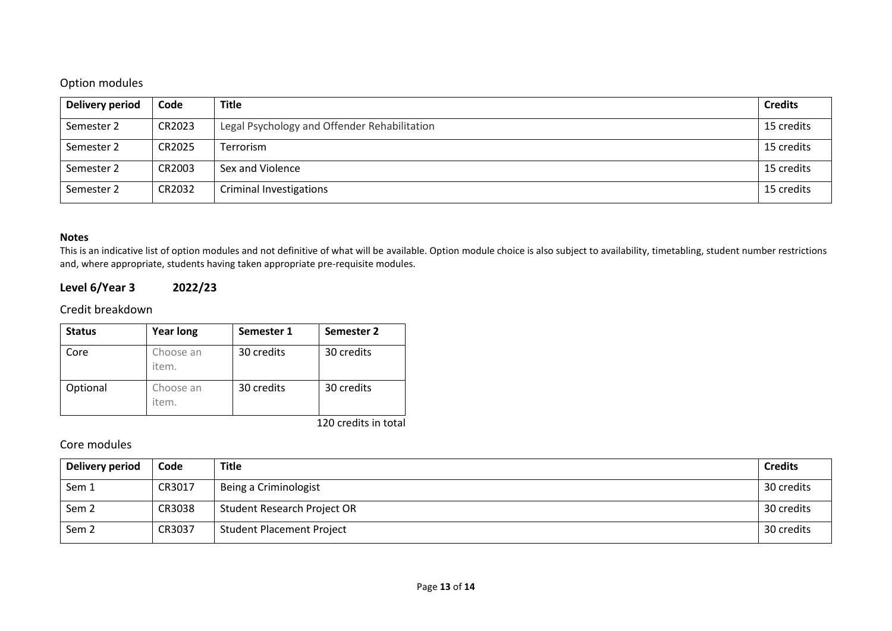# Option modules

| Delivery period | Code   | <b>Title</b>                                 | <b>Credits</b> |
|-----------------|--------|----------------------------------------------|----------------|
| Semester 2      | CR2023 | Legal Psychology and Offender Rehabilitation | 15 credits     |
| Semester 2      | CR2025 | Terrorism                                    | 15 credits     |
| Semester 2      | CR2003 | Sex and Violence                             | 15 credits     |
| Semester 2      | CR2032 | <b>Criminal Investigations</b>               | 15 credits     |

#### **Notes**

This is an indicative list of option modules and not definitive of what will be available. Option module choice is also subject to availability, timetabling, student number restrictions and, where appropriate, students having taken appropriate pre-requisite modules.

# **Level 6/Year 3 2022/23**

## Credit breakdown

| <b>Status</b> | <b>Year long</b>   | Semester 1 | Semester 2 |
|---------------|--------------------|------------|------------|
| Core          | Choose an<br>item. | 30 credits | 30 credits |
| Optional      | Choose an<br>item. | 30 credits | 30 credits |

120 credits in total

# Core modules

| Delivery period  | Code   | <b>Title</b>                     | <b>Credits</b> |
|------------------|--------|----------------------------------|----------------|
| Sem 1            | CR3017 | Being a Criminologist            | 30 credits     |
| Sem <sub>2</sub> | CR3038 | Student Research Project OR      | 30 credits     |
| Sem <sub>2</sub> | CR3037 | <b>Student Placement Project</b> | 30 credits     |